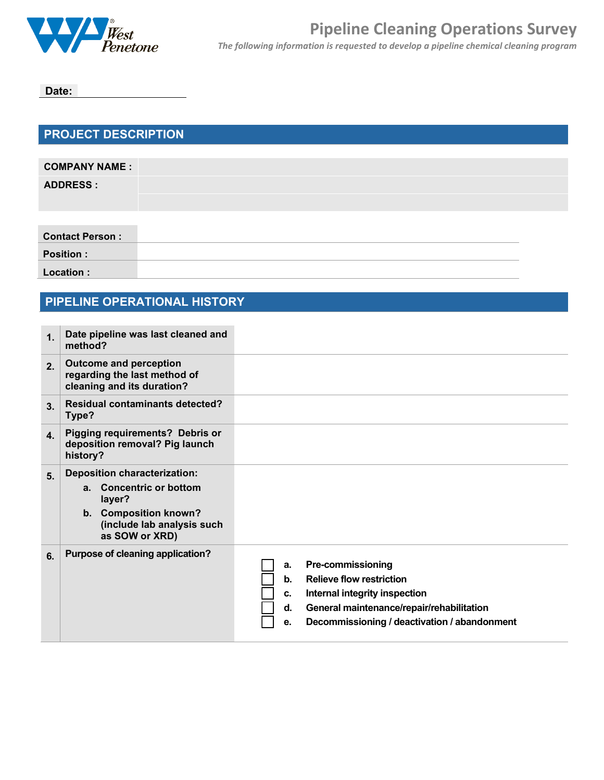

**Date:**

## **PROJECT DESCRIPTION**

| <b>COMPANY NAME:</b> |  |
|----------------------|--|
| <b>ADDRESS:</b>      |  |
|                      |  |

**Contact Person :**

**Position :**

**Location :**

## **PIPELINE OPERATIONAL HISTORY**

| 1 <sub>1</sub> | Date pipeline was last cleaned and<br>method?                                                                                                     |                                                                                                                                                                                                                         |
|----------------|---------------------------------------------------------------------------------------------------------------------------------------------------|-------------------------------------------------------------------------------------------------------------------------------------------------------------------------------------------------------------------------|
| 2.             | <b>Outcome and perception</b><br>regarding the last method of<br>cleaning and its duration?                                                       |                                                                                                                                                                                                                         |
| 3 <sub>1</sub> | <b>Residual contaminants detected?</b><br>Type?                                                                                                   |                                                                                                                                                                                                                         |
| 4.             | <b>Pigging requirements? Debris or</b><br>deposition removal? Pig launch<br>history?                                                              |                                                                                                                                                                                                                         |
| 5 <sub>1</sub> | <b>Deposition characterization:</b><br>a. Concentric or bottom<br>layer?<br>b. Composition known?<br>(include lab analysis such<br>as SOW or XRD) |                                                                                                                                                                                                                         |
| 6.             | Purpose of cleaning application?                                                                                                                  | <b>Pre-commissioning</b><br>a.<br><b>Relieve flow restriction</b><br>b.<br>Internal integrity inspection<br>c.<br>General maintenance/repair/rehabilitation<br>d.<br>Decommissioning / deactivation / abandonment<br>e. |